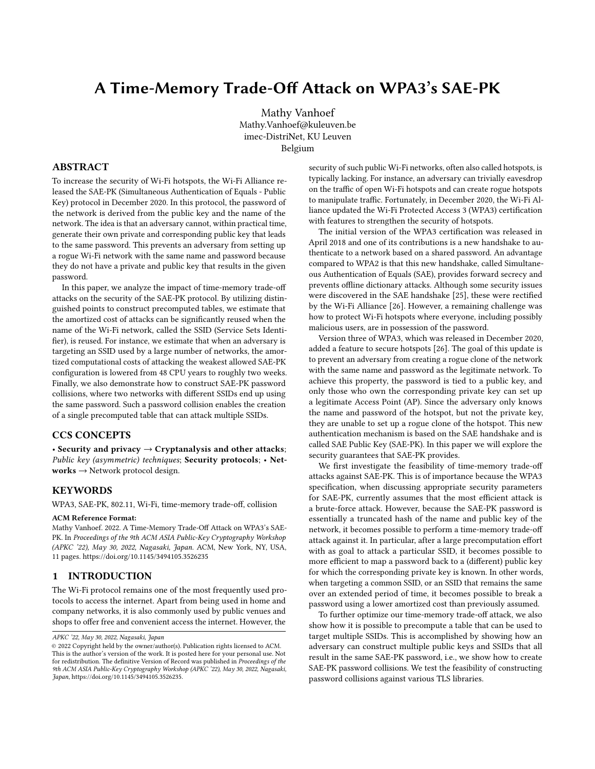# A Time-Memory Trade-Off Attack on WPA3's SAE-PK

[Mathy Vanhoef](https://orcid.org/0002-8971-9470) Mathy.Vanhoef@kuleuven.be imec-DistriNet, KU Leuven Belgium

## ABSTRACT

To increase the security of Wi-Fi hotspots, the Wi-Fi Alliance released the SAE-PK (Simultaneous Authentication of Equals - Public Key) protocol in December 2020. In this protocol, the password of the network is derived from the public key and the name of the network. The idea is that an adversary cannot, within practical time, generate their own private and corresponding public key that leads to the same password. This prevents an adversary from setting up a rogue Wi-Fi network with the same name and password because they do not have a private and public key that results in the given password.

In this paper, we analyze the impact of time-memory trade-off attacks on the security of the SAE-PK protocol. By utilizing distinguished points to construct precomputed tables, we estimate that the amortized cost of attacks can be significantly reused when the name of the Wi-Fi network, called the SSID (Service Sets Identifier), is reused. For instance, we estimate that when an adversary is targeting an SSID used by a large number of networks, the amortized computational costs of attacking the weakest allowed SAE-PK configuration is lowered from 48 CPU years to roughly two weeks. Finally, we also demonstrate how to construct SAE-PK password collisions, where two networks with different SSIDs end up using the same password. Such a password collision enables the creation of a single precomputed table that can attack multiple SSIDs.

#### CCS CONCEPTS

• Security and privacy  $\rightarrow$  Cryptanalysis and other attacks; Public key (asymmetric) techniques; Security protocols; • Networks  $\rightarrow$  Network protocol design.

## **KEYWORDS**

WPA3, SAE-PK, 802.11, Wi-Fi, time-memory trade-off, collision

#### ACM Reference Format:

Mathy Vanhoef. 2022. A Time-Memory Trade-Off Attack on WPA3's SAE-PK. In Proceedings of the 9th ACM ASIA Public-Key Cryptography Workshop (APKC '22), May 30, 2022, Nagasaki, Japan. ACM, New York, NY, USA, [11](#page-10-0) pages.<https://doi.org/10.1145/3494105.3526235>

## 1 INTRODUCTION

The Wi-Fi protocol remains one of the most frequently used protocols to access the internet. Apart from being used in home and company networks, it is also commonly used by public venues and shops to offer free and convenient access the internet. However, the

security of such public Wi-Fi networks, often also called hotspots, is typically lacking. For instance, an adversary can trivially eavesdrop on the traffic of open Wi-Fi hotspots and can create rogue hotspots to manipulate traffic. Fortunately, in December 2020, the Wi-Fi Alliance updated the Wi-Fi Protected Access 3 (WPA3) certification with features to strengthen the security of hotspots.

The initial version of the WPA3 certification was released in April 2018 and one of its contributions is a new handshake to authenticate to a network based on a shared password. An advantage compared to WPA2 is that this new handshake, called Simultaneous Authentication of Equals (SAE), provides forward secrecy and prevents offline dictionary attacks. Although some security issues were discovered in the SAE handshake [\[25\]](#page-9-0), these were rectified by the Wi-Fi Alliance [\[26\]](#page-9-1). However, a remaining challenge was how to protect Wi-Fi hotspots where everyone, including possibly malicious users, are in possession of the password.

Version three of WPA3, which was released in December 2020, added a feature to secure hotspots [\[26\]](#page-9-1). The goal of this update is to prevent an adversary from creating a rogue clone of the network with the same name and password as the legitimate network. To achieve this property, the password is tied to a public key, and only those who own the corresponding private key can set up a legitimate Access Point (AP). Since the adversary only knows the name and password of the hotspot, but not the private key, they are unable to set up a rogue clone of the hotspot. This new authentication mechanism is based on the SAE handshake and is called SAE Public Key (SAE-PK). In this paper we will explore the security guarantees that SAE-PK provides.

We first investigate the feasibility of time-memory trade-off attacks against SAE-PK. This is of importance because the WPA3 specification, when discussing appropriate security parameters for SAE-PK, currently assumes that the most efficient attack is a brute-force attack. However, because the SAE-PK password is essentially a truncated hash of the name and public key of the network, it becomes possible to perform a time-memory trade-off attack against it. In particular, after a large precomputation effort with as goal to attack a particular SSID, it becomes possible to more efficient to map a password back to a (different) public key for which the corresponding private key is known. In other words, when targeting a common SSID, or an SSID that remains the same over an extended period of time, it becomes possible to break a password using a lower amortized cost than previously assumed.

To further optimize our time-memory trade-off attack, we also show how it is possible to precompute a table that can be used to target multiple SSIDs. This is accomplished by showing how an adversary can construct multiple public keys and SSIDs that all result in the same SAE-PK password, i.e., we show how to create SAE-PK password collisions. We test the feasibility of constructing password collisions against various TLS libraries.

APKC '22, May 30, 2022, Nagasaki, Japan

<sup>©</sup> 2022 Copyright held by the owner/author(s). Publication rights licensed to ACM. This is the author's version of the work. It is posted here for your personal use. Not for redistribution. The definitive Version of Record was published in Proceedings of the 9th ACM ASIA Public-Key Cryptography Workshop (APKC '22), May 30, 2022, Nagasaki, Japan, [https://doi.org/10.1145/3494105.3526235.](https://doi.org/10.1145/3494105.3526235)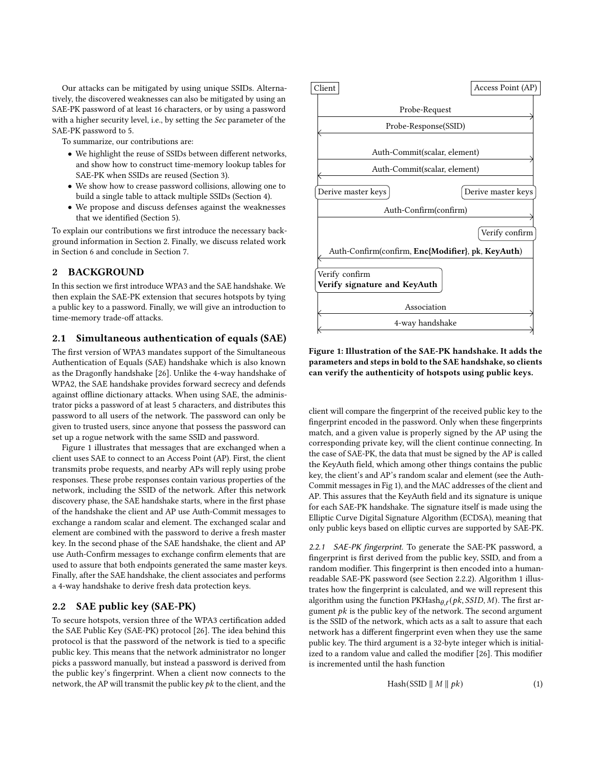Our attacks can be mitigated by using unique SSIDs. Alternatively, the discovered weaknesses can also be mitigated by using an SAE-PK password of at least 16 characters, or by using a password with a higher security level, i.e., by setting the Sec parameter of the SAE-PK password to 5.

To summarize, our contributions are:

- We highlight the reuse of SSIDs between different networks, and show how to construct time-memory lookup tables for SAE-PK when SSIDs are reused (Section [3\)](#page-3-0).
- We show how to crease password collisions, allowing one to build a single table to attack multiple SSIDs (Section [4\)](#page-5-0).
- We propose and discuss defenses against the weaknesses that we identified (Section [5\)](#page-8-0).

To explain our contributions we first introduce the necessary background information in Section [2.](#page-1-0) Finally, we discuss related work in Section [6](#page-9-2) and conclude in Section [7.](#page-9-3)

# <span id="page-1-0"></span>2 BACKGROUND

In this section we first introduce WPA3 and the SAE handshake. We then explain the SAE-PK extension that secures hotspots by tying a public key to a password. Finally, we will give an introduction to time-memory trade-off attacks.

## 2.1 Simultaneous authentication of equals (SAE)

The first version of WPA3 mandates support of the Simultaneous Authentication of Equals (SAE) handshake which is also known as the Dragonfly handshake [\[26\]](#page-9-1). Unlike the 4-way handshake of WPA2, the SAE handshake provides forward secrecy and defends against offline dictionary attacks. When using SAE, the administrator picks a password of at least 5 characters, and distributes this password to all users of the network. The password can only be given to trusted users, since anyone that possess the password can set up a rogue network with the same SSID and password.

Figure [1](#page-1-1) illustrates that messages that are exchanged when a client uses SAE to connect to an Access Point (AP). First, the client transmits probe requests, and nearby APs will reply using probe responses. These probe responses contain various properties of the network, including the SSID of the network. After this network discovery phase, the SAE handshake starts, where in the first phase of the handshake the client and AP use Auth-Commit messages to exchange a random scalar and element. The exchanged scalar and element are combined with the password to derive a fresh master key. In the second phase of the SAE handshake, the client and AP use Auth-Confirm messages to exchange confirm elements that are used to assure that both endpoints generated the same master keys. Finally, after the SAE handshake, the client associates and performs a 4-way handshake to derive fresh data protection keys.

## <span id="page-1-3"></span>2.2 SAE public key (SAE-PK)

To secure hotspots, version three of the WPA3 certification added the SAE Public Key (SAE-PK) protocol [\[26\]](#page-9-1). The idea behind this protocol is that the password of the network is tied to a specific public key. This means that the network administrator no longer picks a password manually, but instead a password is derived from the public key's fingerprint. When a client now connects to the network, the AP will transmit the public key  $pk$  to the client, and the

<span id="page-1-1"></span>

Figure 1: Illustration of the SAE-PK handshake. It adds the parameters and steps in bold to the SAE handshake, so clients can verify the authenticity of hotspots using public keys.

client will compare the fingerprint of the received public key to the fingerprint encoded in the password. Only when these fingerprints match, and a given value is properly signed by the AP using the corresponding private key, will the client continue connecting. In the case of SAE-PK, the data that must be signed by the AP is called the KeyAuth field, which among other things contains the public key, the client's and AP's random scalar and element (see the Auth-Commit messages in Fig [1\)](#page-1-1), and the MAC addresses of the client and AP. This assures that the KeyAuth field and its signature is unique for each SAE-PK handshake. The signature itself is made using the Elliptic Curve Digital Signature Algorithm (ECDSA), meaning that only public keys based on elliptic curves are supported by SAE-PK.

2.2.1 SAE-PK fingerprint. To generate the SAE-PK password, a fingerprint is first derived from the public key, SSID, and from a random modifier. This fingerprint is then encoded into a humanreadable SAE-PK password (see Section [2.2.2\)](#page-2-0). Algorithm [1](#page-2-1) illustrates how the fingerprint is calculated, and we will represent this algorithm using the function  $PKHash_{\theta,\ell}(pk, SSID, M)$ . The first argument  $pk$  is the public key of the network. The second argument is the SSID of the network, which acts as a salt to assure that each network has a different fingerprint even when they use the same public key. The third argument is a 32-byte integer which is initialized to a random value and called the modifier [\[26\]](#page-9-1). This modifier is incremented until the hash function

<span id="page-1-2"></span>
$$
Hash(SSID \parallel M \parallel pk)
$$
 (1)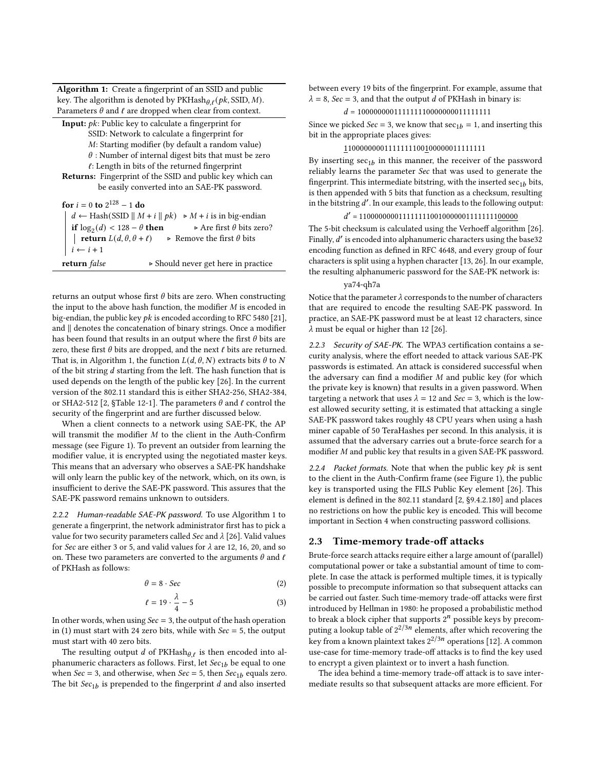Algorithm 1: Create a fingerprint of an SSID and public key. The algorithm is denoted by  $PKHash_{\theta,\ell}(pk, \text{SSID}, M)$ . Parameters  $\theta$  and  $\ell$  are dropped when clear from context.

<span id="page-2-1"></span>Input:  $pk$ : Public key to calculate a fingerprint for SSID: Network to calculate a fingerprint for : Starting modifier (by default a random value)  $\theta$  : Number of internal digest bits that must be zero

 $\ell$ : Length in bits of the returned fingerprint Returns: Fingerprint of the SSID and public key which can be easily converted into an SAE-PK password.

for  $i = 0$  to  $2^{128} - 1$  do  $d \leftarrow$  Hash(SSID ||  $M + i$  ||  $pk$ )  $\triangleright M + i$  is in big-endian if log<sub>2</sub>(*d*) < 128 − *θ* then  $\triangleright$  Are first *θ* bits zero? | **return**  $L(d, \theta, \theta + \ell)$  ⊳ Remove the first  $\theta$  bits  $i \leftarrow i + 1$ return false ⊲ Should never get here in practice

returns an output whose first  $\theta$  bits are zero. When constructing the input to the above hash function, the modifier  $M$  is encoded in big-endian, the public key  $pk$  is encoded according to RFC 5480 [\[21\]](#page-9-4), and ∥ denotes the concatenation of binary strings. Once a modifier has been found that results in an output where the first  $\theta$  bits are zero, these first  $\theta$  bits are dropped, and the next  $\ell$  bits are returned. That is, in Algorithm [1,](#page-2-1) the function  $L(d, \theta, N)$  extracts bits  $\theta$  to N of the bit string  $d$  starting from the left. The hash function that is used depends on the length of the public key [\[26\]](#page-9-1). In the current version of the 802.11 standard this is either SHA2-256, SHA2-384, or SHA2-512 [\[2,](#page-9-5) §Table 12-1]. The parameters  $\theta$  and  $\ell$  control the security of the fingerprint and are further discussed below.

When a client connects to a network using SAE-PK, the AP will transmit the modifier  $M$  to the client in the Auth-Confirm message (see Figure [1\)](#page-1-1). To prevent an outsider from learning the modifier value, it is encrypted using the negotiated master keys. This means that an adversary who observes a SAE-PK handshake will only learn the public key of the network, which, on its own, is insufficient to derive the SAE-PK password. This assures that the SAE-PK password remains unknown to outsiders.

<span id="page-2-0"></span>2.2.2 Human-readable SAE-PK password. To use Algorithm [1](#page-2-1) to generate a fingerprint, the network administrator first has to pick a value for two security parameters called Sec and  $\lambda$  [\[26\]](#page-9-1). Valid values for Sec are either 3 or 5, and valid values for  $\lambda$  are 12, 16, 20, and so on. These two parameters are converted to the arguments  $\theta$  and  $\ell$ of PKHash as follows:

$$
\theta = 8 \cdot \text{Sec} \tag{2}
$$

$$
\ell = 19 \cdot \frac{\lambda}{4} - 5 \tag{3}
$$

In other words, when using  $Sec = 3$ , the output of the hash operation in [\(1\)](#page-1-2) must start with 24 zero bits, while with  $\textit{Sec} = 5$ , the output must start with 40 zero bits.

The resulting output  $d$  of PKHash $\theta$ , is then encoded into alphanumeric characters as follows. First, let  $Sec_{1b}$  be equal to one when  $Sec = 3$ , and otherwise, when  $Sec = 5$ , then  $Sec<sub>1b</sub>$  equals zero. The bit  $Sec_{1b}$  is prepended to the fingerprint  $d$  and also inserted

between every 19 bits of the fingerprint. For example, assume that  $\lambda = 8$ , Sec = 3, and that the output *d* of PKHash in binary is:

#### $d = 100000000111111110000000011111111$

Since we picked  $Sec = 3$ , we know that  $sec_{1b} = 1$ , and inserting this bit in the appropriate places gives:

#### 11000000001111111100100000011111111

By inserting  $\sec_{1b}$  in this manner, the receiver of the password reliably learns the parameter Sec that was used to generate the fingerprint. This intermediate bitstring, with the inserted  $sec_{1b}$  bits, is then appended with 5 bits that function as a checksum, resulting in the bitstring ′ . In our example, this leads to the following output:

# ′ = 1100000000111111110010000001111111100000

The 5-bit checksum is calculated using the Verhoeff algorithm [\[26\]](#page-9-1). Finally, d' is encoded into alphanumeric characters using the base32 encoding function as defined in RFC 4648, and every group of four characters is split using a hyphen character [\[13,](#page-9-6) [26\]](#page-9-1). In our example, the resulting alphanumeric password for the SAE-PK network is:

#### ya74-qh7a

Notice that the parameter  $\lambda$  corresponds to the number of characters that are required to encode the resulting SAE-PK password. In practice, an SAE-PK password must be at least 12 characters, since  $\lambda$  must be equal or higher than 12 [\[26\]](#page-9-1).

2.2.3 Security of SAE-PK. The WPA3 certification contains a security analysis, where the effort needed to attack various SAE-PK passwords is estimated. An attack is considered successful when the adversary can find a modifier  $M$  and public key (for which the private key is known) that results in a given password. When targeting a network that uses  $\lambda = 12$  and  $Sec = 3$ , which is the lowest allowed security setting, it is estimated that attacking a single SAE-PK password takes roughly 48 CPU years when using a hash miner capable of 50 TeraHashes per second. In this analysis, it is assumed that the adversary carries out a brute-force search for a modifier  $M$  and public key that results in a given SAE-PK password.

2.2.4 Packet formats. Note that when the public key  $pk$  is sent to the client in the Auth-Confirm frame (see Figure [1\)](#page-1-1), the public key is transported using the FILS Public Key element [\[26\]](#page-9-1). This element is defined in the 802.11 standard [\[2,](#page-9-5) §9.4.2.180] and places no restrictions on how the public key is encoded. This will become important in Section [4](#page-5-0) when constructing password collisions.

#### <span id="page-2-2"></span>2.3 Time-memory trade-off attacks

Brute-force search attacks require either a large amount of (parallel) computational power or take a substantial amount of time to complete. In case the attack is performed multiple times, it is typically possible to precompute information so that subsequent attacks can be carried out faster. Such time-memory trade-off attacks were first introduced by Hellman in 1980: he proposed a probabilistic method to break a block cipher that supports  $2^n$  possible keys by precomputing a lookup table of  $2^{2/3n}$  elements, after which recovering the key from a known plaintext takes  $2^{2/3n}$  operations [\[12\]](#page-9-7). A common use-case for time-memory trade-off attacks is to find the key used to encrypt a given plaintext or to invert a hash function.

The idea behind a time-memory trade-off attack is to save intermediate results so that subsequent attacks are more efficient. For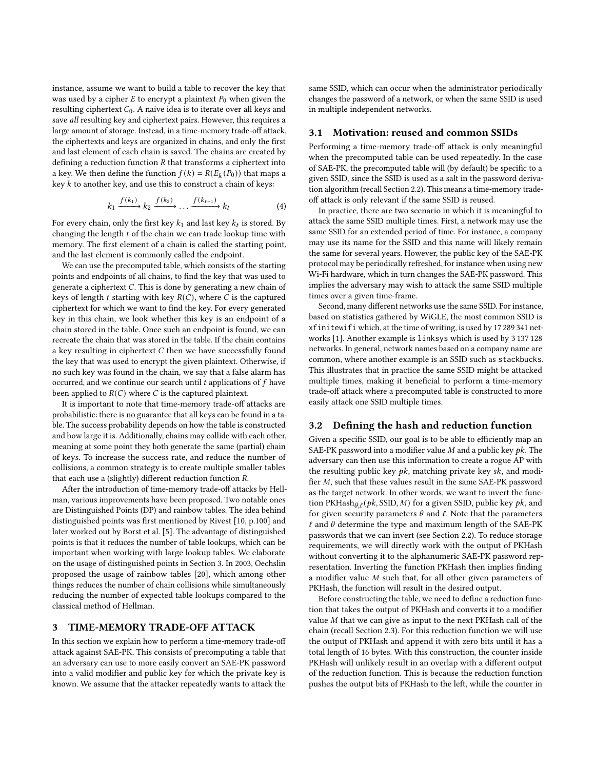instance, assume we want to build a table to recover the key that was used by a cipher  $E$  to encrypt a plaintext  $P_0$  when given the resulting ciphertext  $C_0$ . A naive idea is to iterate over all keys and save all resulting key and ciphertext pairs. However, this requires a large amount of storage. Instead, in a time-memory trade-off attack, the ciphertexts and keys are organized in chains, and only the first and last element of each chain is saved. The chains are created by defining a reduction function  $R$  that transforms a ciphertext into a key. We then define the function  $f(k) = R(E_k(P_0))$  that maps a key  $k$  to another key, and use this to construct a chain of keys:

$$
k_1 \xrightarrow{f(k_1)} k_2 \xrightarrow{f(k_2)} \dots \xrightarrow{f(k_{t-1})} k_t \tag{4}
$$

For every chain, only the first key  $k_1$  and last key  $k_t$  is stored. By changing the length  $t$  of the chain we can trade lookup time with memory. The first element of a chain is called the starting point, and the last element is commonly called the endpoint.

We can use the precomputed table, which consists of the starting points and endpoints of all chains, to find the key that was used to generate a ciphertext  $C$ . This is done by generating a new chain of keys of length  $t$  starting with key  $R(C)$ , where  $C$  is the captured ciphertext for which we want to find the key. For every generated key in this chain, we look whether this key is an endpoint of a chain stored in the table. Once such an endpoint is found, we can recreate the chain that was stored in the table. If the chain contains a key resulting in ciphertext  $C$  then we have successfully found the key that was used to encrypt the given plaintext. Otherwise, if no such key was found in the chain, we say that a false alarm has occurred, and we continue our search until  $t$  applications of  $f$  have been applied to  $R(C)$  where C is the captured plaintext.

It is important to note that time-memory trade-off attacks are probabilistic: there is no guarantee that all keys can be found in a table. The success probability depends on how the table is constructed and how large it is. Additionally, chains may collide with each other, meaning at some point they both generate the same (partial) chain of keys. To increase the success rate, and reduce the number of collisions, a common strategy is to create multiple smaller tables that each use a (slightly) different reduction function  $R$ .

After the introduction of time-memory trade-off attacks by Hellman, various improvements have been proposed. Two notable ones are Distinguished Points (DP) and rainbow tables. The idea behind distinguished points was first mentioned by Rivest [\[10,](#page-9-8) p.100] and later worked out by Borst et al. [\[5\]](#page-9-9). The advantage of distinguished points is that it reduces the number of table lookups, which can be important when working with large lookup tables. We elaborate on the usage of distinguished points in Section [3.](#page-3-0) In 2003, Oechslin proposed the usage of rainbow tables [\[20\]](#page-9-10), which among other things reduces the number of chain collisions while simultaneously reducing the number of expected table lookups compared to the classical method of Hellman.

#### <span id="page-3-0"></span>3 TIME-MEMORY TRADE-OFF ATTACK

In this section we explain how to perform a time-memory trade-off attack against SAE-PK. This consists of precomputing a table that an adversary can use to more easily convert an SAE-PK password into a valid modifier and public key for which the private key is known. We assume that the attacker repeatedly wants to attack the same SSID, which can occur when the administrator periodically changes the password of a network, or when the same SSID is used in multiple independent networks.

## 3.1 Motivation: reused and common SSIDs

Performing a time-memory trade-off attack is only meaningful when the precomputed table can be used repeatedly. In the case of SAE-PK, the precomputed table will (by default) be specific to a given SSID, since the SSID is used as a salt in the password derivation algorithm (recall Section [2.2\)](#page-1-3). This means a time-memory tradeoff attack is only relevant if the same SSID is reused.

In practice, there are two scenario in which it is meaningful to attack the same SSID multiple times. First, a network may use the same SSID for an extended period of time. For instance, a company may use its name for the SSID and this name will likely remain the same for several years. However, the public key of the SAE-PK protocol may be periodically refreshed, for instance when using new Wi-Fi hardware, which in turn changes the SAE-PK password. This implies the adversary may wish to attack the same SSID multiple times over a given time-frame.

Second, many different networks use the same SSID. For instance, based on statistics gathered by WiGLE, the most common SSID is xfinitewifi which, at the time of writing, is used by 17 289 341 networks [\[1\]](#page-9-11). Another example is linksys which is used by 3 137 128 networks. In general, network names based on a company name are common, where another example is an SSID such as stackbucks. This illustrates that in practice the same SSID might be attacked multiple times, making it beneficial to perform a time-memory trade-off attack where a precomputed table is constructed to more easily attack one SSID multiple times.

#### 3.2 Defining the hash and reduction function

Given a specific SSID, our goal is to be able to efficiently map an SAE-PK password into a modifier value  $M$  and a public key  $pk$ . The adversary can then use this information to create a rogue AP with the resulting public key  $pk$ , matching private key  $sk$ , and modifier  $M$ , such that these values result in the same SAE-PK password as the target network. In other words, we want to invert the function PKHash $_{\theta,\ell}$  (pk, SSID, M) for a given SSID, public key pk, and for given security parameters  $\theta$  and  $\ell$ . Note that the parameters  $\ell$  and  $\theta$  determine the type and maximum length of the SAE-PK passwords that we can invert (see Section [2.2\)](#page-1-3). To reduce storage requirements, we will directly work with the output of PKHash without converting it to the alphanumeric SAE-PK password representation. Inverting the function PKHash then implies finding a modifier value  $M$  such that, for all other given parameters of PKHash, the function will result in the desired output.

Before constructing the table, we need to define a reduction function that takes the output of PKHash and converts it to a modifier value  $M$  that we can give as input to the next PKHash call of the chain (recall Section [2.3\)](#page-2-2). For this reduction function we will use the output of PKHash and append it with zero bits until it has a total length of 16 bytes. With this construction, the counter inside PKHash will unlikely result in an overlap with a different output of the reduction function. This is because the reduction function pushes the output bits of PKHash to the left, while the counter in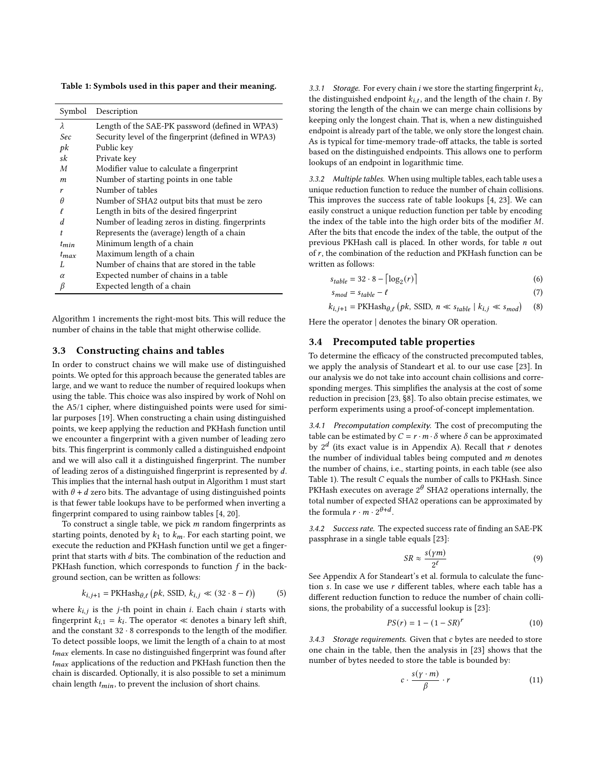<span id="page-4-0"></span>Table 1: Symbols used in this paper and their meaning.

| Symbol    | Description                                         |
|-----------|-----------------------------------------------------|
| λ         | Length of the SAE-PK password (defined in WPA3)     |
| Sec       | Security level of the fingerprint (defined in WPA3) |
| pk        | Public key                                          |
| sk        | Private key                                         |
| M         | Modifier value to calculate a fingerprint           |
| m         | Number of starting points in one table              |
| r         | Number of tables                                    |
| θ         | Number of SHA2 output bits that must be zero        |
|           | Length in bits of the desired fingerprint           |
| d         | Number of leading zeros in disting. fingerprints    |
| t         | Represents the (average) length of a chain          |
| $t_{min}$ | Minimum length of a chain                           |
| $t_{max}$ | Maximum length of a chain                           |
| L         | Number of chains that are stored in the table       |
| $\alpha$  | Expected number of chains in a table                |
| β         | Expected length of a chain                          |
|           |                                                     |

Algorithm [1](#page-2-1) increments the right-most bits. This will reduce the number of chains in the table that might otherwise collide.

#### 3.3 Constructing chains and tables

In order to construct chains we will make use of distinguished points. We opted for this approach because the generated tables are large, and we want to reduce the number of required lookups when using the table. This choice was also inspired by work of Nohl on the A5/1 cipher, where distinguished points were used for similar purposes [\[19\]](#page-9-12). When constructing a chain using distinguished points, we keep applying the reduction and PKHash function until we encounter a fingerprint with a given number of leading zero bits. This fingerprint is commonly called a distinguished endpoint and we will also call it a distinguished fingerprint. The number of leading zeros of a distinguished fingerprint is represented by  $d$ . This implies that the internal hash output in Algorithm [1](#page-2-1) must start with  $\theta + d$  zero bits. The advantage of using distinguished points is that fewer table lookups have to be performed when inverting a fingerprint compared to using rainbow tables [\[4,](#page-9-13) [20\]](#page-9-10).

To construct a single table, we pick  $m$  random fingerprints as starting points, denoted by  $k_1$  to  $k_m$ . For each starting point, we execute the reduction and PKHash function until we get a fingerprint that starts with  $d$  bits. The combination of the reduction and PKHash function, which corresponds to function  $f$  in the background section, can be written as follows:

$$
k_{i,j+1} = \text{PKHash}_{\theta,\ell} \left( pk, \text{SSID}, k_{i,j} \ll (32 \cdot 8 - \ell) \right) \tag{5}
$$

where  $k_{i,j}$  is the j-th point in chain *i*. Each chain *i* starts with fingerprint  $k_{i,1} = k_i$ . The operator « denotes a binary left shift, and the constant  $32 \cdot 8$  corresponds to the length of the modifier. To detect possible loops, we limit the length of a chain to at most  $t_{max}$  elements. In case no distinguished fingerprint was found after  $t_{max}$  applications of the reduction and PKHash function then the chain is discarded. Optionally, it is also possible to set a minimum chain length  $t_{min}$ , to prevent the inclusion of short chains.

3.3.1 Storage. For every chain i we store the starting fingerprint  $k_i$ , the distinguished endpoint  $k_{i,t}$ , and the length of the chain t. By storing the length of the chain we can merge chain collisions by keeping only the longest chain. That is, when a new distinguished endpoint is already part of the table, we only store the longest chain. As is typical for time-memory trade-off attacks, the table is sorted based on the distinguished endpoints. This allows one to perform lookups of an endpoint in logarithmic time.

3.3.2 Multiple tables. When using multiple tables, each table uses a unique reduction function to reduce the number of chain collisions. This improves the success rate of table lookups [\[4,](#page-9-13) [23\]](#page-9-14). We can easily construct a unique reduction function per table by encoding the index of the table into the high order bits of the modifier  $M$ . After the bits that encode the index of the table, the output of the previous PKHash call is placed. In other words, for table  $n$  out of  $r$ , the combination of the reduction and PKHash function can be written as follows:

$$
s_{table} = 32 \cdot 8 - \left\lceil \log_2(r) \right\rceil \tag{6}
$$

$$
s_{mod} = s_{table} - \ell \tag{7}
$$

$$
k_{i,j+1} = \text{PKHash}_{\theta,\ell} \left( pk, \text{SSID}, \, n \ll s_{table} \mid k_{i,j} \ll s_{mod} \right) \tag{8}
$$

Here the operator | denotes the binary OR operation.

#### 3.4 Precomputed table properties

To determine the efficacy of the constructed precomputed tables, we apply the analysis of Standeart et al. to our use case [\[23\]](#page-9-14). In our analysis we do not take into account chain collisions and corresponding merges. This simplifies the analysis at the cost of some reduction in precision [\[23,](#page-9-14) §8]. To also obtain precise estimates, we perform experiments using a proof-of-concept implementation.

3.4.1 Precomputation complexity. The cost of precomputing the table can be estimated by  $C = r \cdot m \cdot \delta$  where  $\delta$  can be approximated by  $2^d$  (its exact value is in Appendix [A\)](#page-10-1). Recall that  $r$  denotes the number of individual tables being computed and  $m$  denotes the number of chains, i.e., starting points, in each table (see also Table [1\)](#page-4-0). The result  $C$  equals the number of calls to PKHash. Since PKHash executes on average  $2^{\theta}$  SHA2 operations internally, the total number of expected SHA2 operations can be approximated by the formula  $r \cdot m \cdot 2^{\theta+d}$ .

3.4.2 Success rate. The expected success rate of finding an SAE-PK passphrase in a single table equals [\[23\]](#page-9-14):

$$
SR \approx \frac{s(\gamma m)}{2^{\ell}} \tag{9}
$$

See Appendix [A](#page-10-1) for Standeart's et al. formula to calculate the function  $s$ . In case we use  $r$  different tables, where each table has a different reduction function to reduce the number of chain collisions, the probability of a successful lookup is [\[23\]](#page-9-14):

$$
PS(r) = 1 - (1 - SR)^r
$$
 (10)

3.4.3 Storage requirements. Given that c bytes are needed to store one chain in the table, then the analysis in [\[23\]](#page-9-14) shows that the number of bytes needed to store the table is bounded by:

$$
c \cdot \frac{s(\gamma \cdot m)}{\beta} \cdot r \tag{11}
$$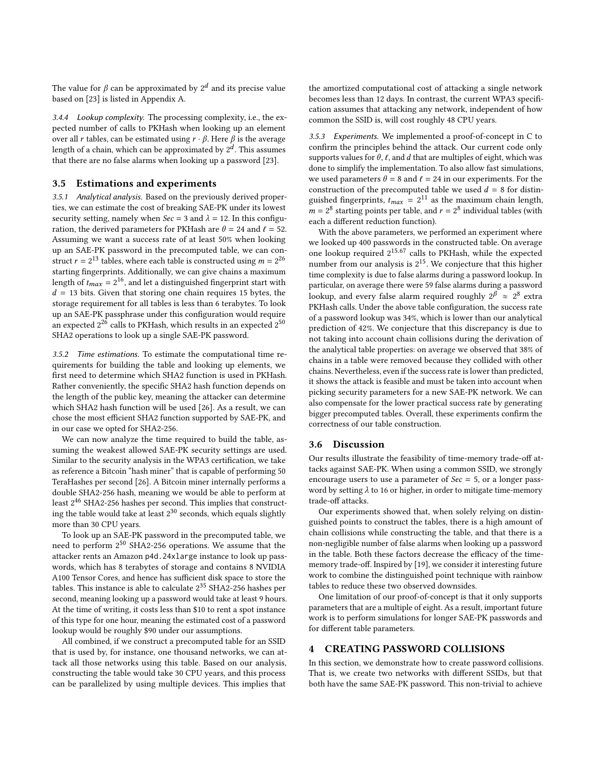The value for  $\beta$  can be approximated by  $2^d$  and its precise value based on [\[23\]](#page-9-14) is listed in Appendix [A.](#page-10-1)

3.4.4 Lookup complexity. The processing complexity, i.e., the expected number of calls to PKHash when looking up an element over all *r* tables, can be estimated using  $r \cdot \beta$ . Here  $\beta$  is the average length of a chain, which can be approximated by  $2^d$ . This assumes that there are no false alarms when looking up a password [\[23\]](#page-9-14).

## 3.5 Estimations and experiments

3.5.1 Analytical analysis. Based on the previously derived properties, we can estimate the cost of breaking SAE-PK under its lowest security setting, namely when  $\text{Sec} = 3$  and  $\lambda = 12$ . In this configuration, the derived parameters for PKHash are  $\theta = 24$  and  $\ell = 52$ . Assuming we want a success rate of at least 50% when looking up an SAE-PK password in the precomputed table, we can construct  $r = 2^{13}$  tables, where each table is constructed using  $m = 2^{26}$ starting fingerprints. Additionally, we can give chains a maximum length of  $t_{max} = 2^{16}$ , and let a distinguished fingerprint start with  $d = 13$  bits. Given that storing one chain requires 15 bytes, the storage requirement for all tables is less than 6 terabytes. To look up an SAE-PK passphrase under this configuration would require an expected  $2^{2\bar{6}}$  calls to PKHash, which results in an expected  $2^{50}$ SHA2 operations to look up a single SAE-PK password.

3.5.2 Time estimations. To estimate the computational time requirements for building the table and looking up elements, we first need to determine which SHA2 function is used in PKHash. Rather conveniently, the specific SHA2 hash function depends on the length of the public key, meaning the attacker can determine which SHA2 hash function will be used [\[26\]](#page-9-1). As a result, we can chose the most efficient SHA2 function supported by SAE-PK, and in our case we opted for SHA2-256.

We can now analyze the time required to build the table, assuming the weakest allowed SAE-PK security settings are used. Similar to the security analysis in the WPA3 certification, we take as reference a Bitcoin "hash miner" that is capable of performing 50 TeraHashes per second [\[26\]](#page-9-1). A Bitcoin miner internally performs a double SHA2-256 hash, meaning we would be able to perform at least 2<sup>46</sup> SHA2-256 hashes per second. This implies that constructing the table would take at least  $2^{30}$  seconds, which equals slightly more than 30 CPU years.

To look up an SAE-PK password in the precomputed table, we need to perform 2 <sup>50</sup> SHA2-256 operations. We assume that the attacker rents an Amazon p4d.24xlarge instance to look up passwords, which has 8 terabytes of storage and contains 8 NVIDIA A100 Tensor Cores, and hence has sufficient disk space to store the tables. This instance is able to calculate 2 <sup>35</sup> SHA2-256 hashes per second, meaning looking up a password would take at least 9 hours. At the time of writing, it costs less than \$10 to rent a spot instance of this type for one hour, meaning the estimated cost of a password lookup would be roughly \$90 under our assumptions.

All combined, if we construct a precomputed table for an SSID that is used by, for instance, one thousand networks, we can attack all those networks using this table. Based on our analysis, constructing the table would take 30 CPU years, and this process can be parallelized by using multiple devices. This implies that the amortized computational cost of attacking a single network becomes less than 12 days. In contrast, the current WPA3 specification assumes that attacking any network, independent of how common the SSID is, will cost roughly 48 CPU years.

3.5.3 Experiments. We implemented a proof-of-concept in C to confirm the principles behind the attack. Our current code only supports values for  $\theta$ ,  $\ell$ , and  $d$  that are multiples of eight, which was done to simplify the implementation. To also allow fast simulations, we used parameters  $\theta = 8$  and  $\ell = 24$  in our experiments. For the construction of the precomputed table we used  $d = 8$  for distinguished fingerprints,  $t_{max} = 2^{11}$  as the maximum chain length,  $m = 2<sup>8</sup>$  starting points per table, and  $r = 2<sup>8</sup>$  individual tables (with each a different reduction function).

With the above parameters, we performed an experiment where we looked up 400 passwords in the constructed table. On average one lookup required 2<sup>15.67</sup> calls to PKHash, while the expected number from our analysis is  $2^{15}$ . We conjecture that this higher time complexity is due to false alarms during a password lookup. In particular, on average there were 59 false alarms during a password lookup, and every false alarm required roughly  $2^{p} \approx 2^{8}$  extra PKHash calls. Under the above table configuration, the success rate of a password lookup was 34%, which is lower than our analytical prediction of 42%. We conjecture that this discrepancy is due to not taking into account chain collisions during the derivation of the analytical table properties: on average we observed that 38% of chains in a table were removed because they collided with other chains. Nevertheless, even if the success rate is lower than predicted, it shows the attack is feasible and must be taken into account when picking security parameters for a new SAE-PK network. We can also compensate for the lower practical success rate by generating bigger precomputed tables. Overall, these experiments confirm the correctness of our table construction.

#### 3.6 Discussion

Our results illustrate the feasibility of time-memory trade-off attacks against SAE-PK. When using a common SSID, we strongly encourage users to use a parameter of  $Sec = 5$ , or a longer password by setting  $\lambda$  to 16 or higher, in order to mitigate time-memory trade-off attacks.

Our experiments showed that, when solely relying on distinguished points to construct the tables, there is a high amount of chain collisions while constructing the table, and that there is a non-negligible number of false alarms when looking up a password in the table. Both these factors decrease the efficacy of the timememory trade-off. Inspired by [\[19\]](#page-9-12), we consider it interesting future work to combine the distinguished point technique with rainbow tables to reduce these two observed downsides.

One limitation of our proof-of-concept is that it only supports parameters that are a multiple of eight. As a result, important future work is to perform simulations for longer SAE-PK passwords and for different table parameters.

#### <span id="page-5-0"></span>4 CREATING PASSWORD COLLISIONS

In this section, we demonstrate how to create password collisions. That is, we create two networks with different SSIDs, but that both have the same SAE-PK password. This non-trivial to achieve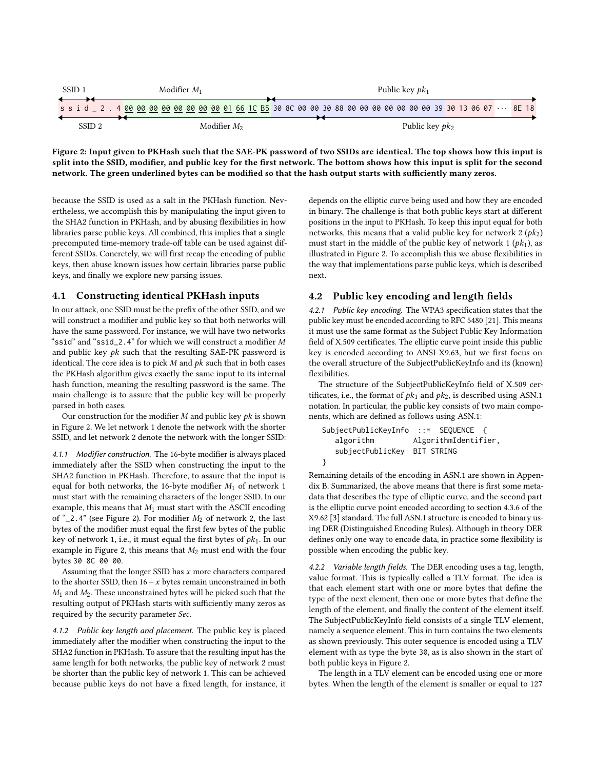<span id="page-6-0"></span>

| SSID <sub>1</sub>                                                                                                   | Modifier $M_1$ |  |  |  |  |  |  |  |  | Public key $pk_1$ |  |  |  |  |  |  |  |  |  |                  |  |  |  |  |  |  |  |  |
|---------------------------------------------------------------------------------------------------------------------|----------------|--|--|--|--|--|--|--|--|-------------------|--|--|--|--|--|--|--|--|--|------------------|--|--|--|--|--|--|--|--|
| s s i d _ 2 . 4 00 00 00 00 00 00 00 00 01 66 1C B5 30 8C 00 00 30 88 00 00 00 00 00 00 00 39 30 13 06 07 ··· 8E 18 |                |  |  |  |  |  |  |  |  |                   |  |  |  |  |  |  |  |  |  |                  |  |  |  |  |  |  |  |  |
| SSID 2                                                                                                              | Modifier M2    |  |  |  |  |  |  |  |  |                   |  |  |  |  |  |  |  |  |  | Public key $pk2$ |  |  |  |  |  |  |  |  |

Figure 2: Input given to PKHash such that the SAE-PK password of two SSIDs are identical. The top shows how this input is split into the SSID, modifier, and public key for the first network. The bottom shows how this input is split for the second network. The green underlined bytes can be modified so that the hash output starts with sufficiently many zeros.

because the SSID is used as a salt in the PKHash function. Nevertheless, we accomplish this by manipulating the input given to the SHA2 function in PKHash, and by abusing flexibilities in how libraries parse public keys. All combined, this implies that a single precomputed time-memory trade-off table can be used against different SSIDs. Concretely, we will first recap the encoding of public keys, then abuse known issues how certain libraries parse public keys, and finally we explore new parsing issues.

## 4.1 Constructing identical PKHash inputs

In our attack, one SSID must be the prefix of the other SSID, and we will construct a modifier and public key so that both networks will have the same password. For instance, we will have two networks "ssid" and "ssid\_2.4" for which we will construct a modifier M and public key  $pk$  such that the resulting SAE-PK password is identical. The core idea is to pick  $M$  and  $pk$  such that in both cases the PKHash algorithm gives exactly the same input to its internal hash function, meaning the resulting password is the same. The main challenge is to assure that the public key will be properly parsed in both cases.

Our construction for the modifier  $M$  and public key  $pk$  is shown in Figure [2.](#page-6-0) We let network 1 denote the network with the shorter SSID, and let network 2 denote the network with the longer SSID:

4.1.1 Modifier construction. The 16-byte modifier is always placed immediately after the SSID when constructing the input to the SHA2 function in PKHash. Therefore, to assure that the input is equal for both networks, the 16-byte modifier  $M_1$  of network 1 must start with the remaining characters of the longer SSID. In our example, this means that  $M_1$  must start with the ASCII encoding of " $2.4$ " (see Figure [2\)](#page-6-0). For modifier  $M_2$  of network 2, the last bytes of the modifier must equal the first few bytes of the public key of network 1, i.e., it must equal the first bytes of  $pk<sub>1</sub>$ . In our example in Figure [2,](#page-6-0) this means that  $M_2$  must end with the four bytes 30 8C 00 00.

Assuming that the longer SSID has  $x$  more characters compared to the shorter SSID, then  $16 - x$  bytes remain unconstrained in both  $M_1$  and  $M_2$ . These unconstrained bytes will be picked such that the resulting output of PKHash starts with sufficiently many zeros as required by the security parameter Sec.

4.1.2 Public key length and placement. The public key is placed immediately after the modifier when constructing the input to the SHA2 function in PKHash. To assure that the resulting input has the same length for both networks, the public key of network 2 must be shorter than the public key of network 1. This can be achieved because public keys do not have a fixed length, for instance, it depends on the elliptic curve being used and how they are encoded in binary. The challenge is that both public keys start at different positions in the input to PKHash. To keep this input equal for both networks, this means that a valid public key for network 2  $(pk<sub>2</sub>)$ must start in the middle of the public key of network 1  $(pk<sub>1</sub>)$ , as illustrated in Figure [2.](#page-6-0) To accomplish this we abuse flexibilities in the way that implementations parse public keys, which is described next.

# 4.2 Public key encoding and length fields

4.2.1 Public key encoding. The WPA3 specification states that the public key must be encoded according to RFC 5480 [\[21\]](#page-9-4). This means it must use the same format as the Subject Public Key Information field of X.509 certificates. The elliptic curve point inside this public key is encoded according to ANSI X9.63, but we first focus on the overall structure of the SubjectPublicKeyInfo and its (known) flexibilities.

The structure of the SubjectPublicKeyInfo field of X.509 certificates, i.e., the format of  $pk_1$  and  $pk_2$ , is described using ASN.1 notation. In particular, the public key consists of two main components, which are defined as follows using ASN.1:

```
SubjectPublicKeyInfo ::= SEQUENCE {
  algorithm AlgorithmIdentifier,
  subjectPublicKey BIT STRING
}
```
Remaining details of the encoding in ASN.1 are shown in Appendix [B.](#page-10-2) Summarized, the above means that there is first some metadata that describes the type of elliptic curve, and the second part is the elliptic curve point encoded according to section 4.3.6 of the X9.62 [\[3\]](#page-9-15) standard. The full ASN.1 structure is encoded to binary using DER (Distinguished Encoding Rules). Although in theory DER defines only one way to encode data, in practice some flexibility is possible when encoding the public key.

4.2.2 Variable length fields. The DER encoding uses a tag, length, value format. This is typically called a TLV format. The idea is that each element start with one or more bytes that define the type of the next element, then one or more bytes that define the length of the element, and finally the content of the element itself. The SubjectPublicKeyInfo field consists of a single TLV element, namely a sequence element. This in turn contains the two elements as shown previously. This outer sequence is encoded using a TLV element with as type the byte 30, as is also shown in the start of both public keys in Figure [2.](#page-6-0)

The length in a TLV element can be encoded using one or more bytes. When the length of the element is smaller or equal to 127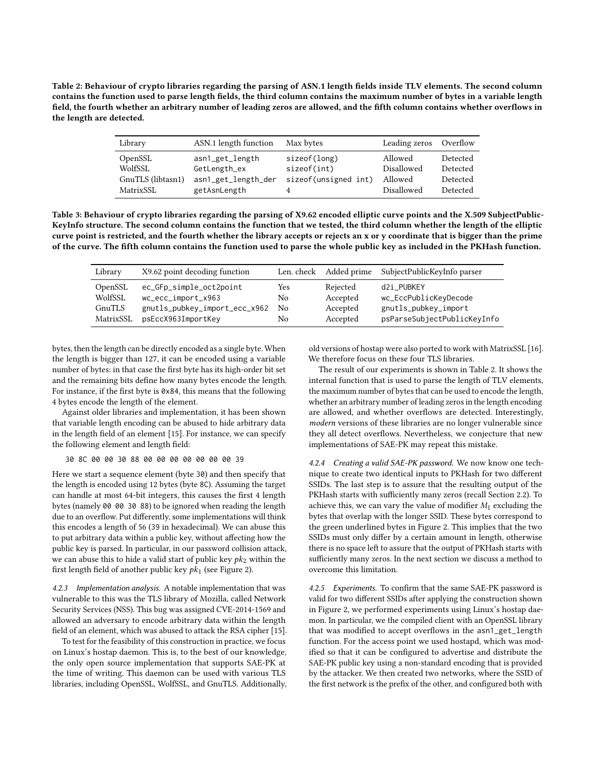<span id="page-7-0"></span>Table 2: Behaviour of crypto libraries regarding the parsing of ASN.1 length fields inside TLV elements. The second column contains the function used to parse length fields, the third column contains the maximum number of bytes in a variable length field, the fourth whether an arbitrary number of leading zeros are allowed, and the fifth column contains whether overflows in the length are detected.

| Library           | ASN.1 length function | Max bytes            | Leading zeros Overflow |          |
|-------------------|-----------------------|----------------------|------------------------|----------|
| OpenSSL           | asn1_get_length       | sizeof(long)         | Allowed                | Detected |
| WolfSSL           | GetLength_ex          | sizeof(int)          | Disallowed             | Detected |
| GnuTLS (libtasn1) | asn1_get_length_der   | sizeof(unsigned int) | Allowed                | Detected |
| MatrixSSL         | getAsnLength          |                      | Disallowed             | Detected |

<span id="page-7-1"></span>Table 3: Behaviour of crypto libraries regarding the parsing of X9.62 encoded elliptic curve points and the X.509 SubjectPublic-KeyInfo structure. The second column contains the function that we tested, the third column whether the length of the elliptic curve point is restricted, and the fourth whether the library accepts or rejects an x or y coordinate that is bigger than the prime of the curve. The fifth column contains the function used to parse the whole public key as included in the PKHash function.

| Library   | X9.62 point decoding function |     | Len. check Added prime | SubjectPublicKeyInfo parser |
|-----------|-------------------------------|-----|------------------------|-----------------------------|
| OpenSSL   | ec_GFp_simple_oct2point       | Yes | Rejected               | d2i PUBKEY                  |
| WolfSSL   | wc_ecc_import_x963            | No  | Accepted               | wc_EccPublicKeyDecode       |
| GnuTLS    | gnutls_pubkey_import_ecc_x962 | No  | Accepted               | gnutls_pubkey_import        |
| MatrixSSL | psEccX963ImportKey            | No  | Accepted               | psParseSubjectPublicKeyInfo |

bytes, then the length can be directly encoded as a single byte. When the length is bigger than 127, it can be encoded using a variable number of bytes: in that case the first byte has its high-order bit set and the remaining bits define how many bytes encode the length. For instance, if the first byte is 0x84, this means that the following 4 bytes encode the length of the element.

Against older libraries and implementation, it has been shown that variable length encoding can be abused to hide arbitrary data in the length field of an element [\[15\]](#page-9-16). For instance, we can specify the following element and length field:

30 8C 00 00 30 88 00 00 00 00 00 00 00 39

Here we start a sequence element (byte 30) and then specify that the length is encoded using 12 bytes (byte 8C). Assuming the target can handle at most 64-bit integers, this causes the first 4 length bytes (namely 00 00 30 88) to be ignored when reading the length due to an overflow. Put differently, some implementations will think this encodes a length of 56 (39 in hexadecimal). We can abuse this to put arbitrary data within a public key, without affecting how the public key is parsed. In particular, in our password collision attack, we can abuse this to hide a valid start of public key  $pk<sub>2</sub>$  within the first length field of another public key  $pk_1$  (see Figure [2\)](#page-6-0).

4.2.3 Implementation analysis. A notable implementation that was vulnerable to this was the TLS library of Mozilla, called Network Security Services (NSS). This bug was assigned CVE-2014-1569 and allowed an adversary to encode arbitrary data within the length field of an element, which was abused to attack the RSA cipher [\[15\]](#page-9-16).

To test for the feasibility of this construction in practice, we focus on Linux's hostap daemon. This is, to the best of our knowledge, the only open source implementation that supports SAE-PK at the time of writing. This daemon can be used with various TLS libraries, including OpenSSL, WolfSSL, and GnuTLS. Additionally, old versions of hostap were also ported to work with MatrixSSL [\[16\]](#page-9-17). We therefore focus on these four TLS libraries.

The result of our experiments is shown in Table [2.](#page-7-0) It shows the internal function that is used to parse the length of TLV elements, the maximum number of bytes that can be used to encode the length, whether an arbitrary number of leading zeros in the length encoding are allowed, and whether overflows are detected. Interestingly, modern versions of these libraries are no longer vulnerable since they all detect overflows. Nevertheless, we conjecture that new implementations of SAE-PK may repeat this mistake.

4.2.4 Creating a valid SAE-PK password. We now know one technique to create two identical inputs to PKHash for two different SSIDs. The last step is to assure that the resulting output of the PKHash starts with sufficiently many zeros (recall Section [2.2\)](#page-1-3). To achieve this, we can vary the value of modifier  $M_1$  excluding the bytes that overlap with the longer SSID. These bytes correspond to the green underlined bytes in Figure [2.](#page-6-0) This implies that the two SSIDs must only differ by a certain amount in length, otherwise there is no space left to assure that the output of PKHash starts with sufficiently many zeros. In the next section we discuss a method to overcome this limitation.

4.2.5 Experiments. To confirm that the same SAE-PK password is valid for two different SSIDs after applying the construction shown in Figure [2,](#page-6-0) we performed experiments using Linux's hostap daemon. In particular, we the compiled client with an OpenSSL library that was modified to accept overflows in the asn1\_get\_length function. For the access point we used hostapd, which was modified so that it can be configured to advertise and distribute the SAE-PK public key using a non-standard encoding that is provided by the attacker. We then created two networks, where the SSID of the first network is the prefix of the other, and configured both with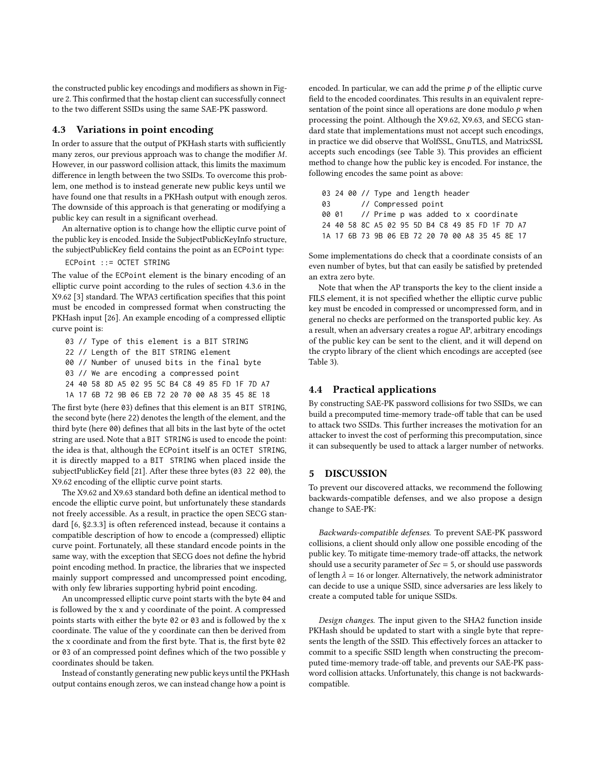the constructed public key encodings and modifiers as shown in Figure [2.](#page-6-0) This confirmed that the hostap client can successfully connect to the two different SSIDs using the same SAE-PK password.

# 4.3 Variations in point encoding

In order to assure that the output of PKHash starts with sufficiently many zeros, our previous approach was to change the modifier  $M$ . However, in our password collision attack, this limits the maximum difference in length between the two SSIDs. To overcome this problem, one method is to instead generate new public keys until we have found one that results in a PKHash output with enough zeros. The downside of this approach is that generating or modifying a public key can result in a significant overhead.

An alternative option is to change how the elliptic curve point of the public key is encoded. Inside the SubjectPublicKeyInfo structure, the subjectPublicKey field contains the point as an ECPoint type:

## ECPoint ::= OCTET STRING

The value of the ECPoint element is the binary encoding of an elliptic curve point according to the rules of section 4.3.6 in the X9.62 [\[3\]](#page-9-15) standard. The WPA3 certification specifies that this point must be encoded in compressed format when constructing the PKHash input [\[26\]](#page-9-1). An example encoding of a compressed elliptic curve point is:

03 // Type of this element is a BIT STRING 22 // Length of the BIT STRING element

00 // Number of unused bits in the final byte

03 // We are encoding a compressed point

24 40 58 8D A5 02 95 5C B4 C8 49 85 FD 1F 7D A7

1A 17 6B 72 9B 06 EB 72 20 70 00 A8 35 45 8E 18

The first byte (here 03) defines that this element is an BIT STRING, the second byte (here 22) denotes the length of the element, and the third byte (here 00) defines that all bits in the last byte of the octet string are used. Note that a BIT STRING is used to encode the point: the idea is that, although the ECPoint itself is an OCTET STRING, it is directly mapped to a BIT STRING when placed inside the subjectPublicKey field [\[21\]](#page-9-4). After these three bytes (03 22 00), the X9.62 encoding of the elliptic curve point starts.

The X9.62 and X9.63 standard both define an identical method to encode the elliptic curve point, but unfortunately these standards not freely accessible. As a result, in practice the open SECG standard [\[6,](#page-9-18) §2.3.3] is often referenced instead, because it contains a compatible description of how to encode a (compressed) elliptic curve point. Fortunately, all these standard encode points in the same way, with the exception that SECG does not define the hybrid point encoding method. In practice, the libraries that we inspected mainly support compressed and uncompressed point encoding, with only few libraries supporting hybrid point encoding.

An uncompressed elliptic curve point starts with the byte 04 and is followed by the x and y coordinate of the point. A compressed points starts with either the byte 02 or 03 and is followed by the x coordinate. The value of the y coordinate can then be derived from the x coordinate and from the first byte. That is, the first byte 02 or 03 of an compressed point defines which of the two possible y coordinates should be taken.

Instead of constantly generating new public keys until the PKHash output contains enough zeros, we can instead change how a point is

encoded. In particular, we can add the prime  $p$  of the elliptic curve field to the encoded coordinates. This results in an equivalent representation of the point since all operations are done modulo  $p$  when processing the point. Although the X9.62, X9.63, and SECG standard state that implementations must not accept such encodings, in practice we did observe that WolfSSL, GnuTLS, and MatrixSSL accepts such encodings (see Table [3\)](#page-7-1). This provides an efficient method to change how the public key is encoded. For instance, the following encodes the same point as above:

|  |  |  | 03 24 00 // Type and length header |  |  |                                                 |  |  |
|--|--|--|------------------------------------|--|--|-------------------------------------------------|--|--|
|  |  |  | 03 // Compressed point             |  |  |                                                 |  |  |
|  |  |  |                                    |  |  | 00 01 // Prime p was added to x coordinate      |  |  |
|  |  |  |                                    |  |  | 24 40 58 8C A5 02 95 5D B4 C8 49 85 FD 1F 7D A7 |  |  |
|  |  |  |                                    |  |  | 1A 17 6B 73 9B 06 EB 72 20 70 00 A8 35 45 8E 17 |  |  |

Some implementations do check that a coordinate consists of an even number of bytes, but that can easily be satisfied by pretended an extra zero byte.

Note that when the AP transports the key to the client inside a FILS element, it is not specified whether the elliptic curve public key must be encoded in compressed or uncompressed form, and in general no checks are performed on the transported public key. As a result, when an adversary creates a rogue AP, arbitrary encodings of the public key can be sent to the client, and it will depend on the crypto library of the client which encodings are accepted (see Table [3\)](#page-7-1).

# 4.4 Practical applications

By constructing SAE-PK password collisions for two SSIDs, we can build a precomputed time-memory trade-off table that can be used to attack two SSIDs. This further increases the motivation for an attacker to invest the cost of performing this precomputation, since it can subsequently be used to attack a larger number of networks.

#### <span id="page-8-0"></span>5 DISCUSSION

To prevent our discovered attacks, we recommend the following backwards-compatible defenses, and we also propose a design change to SAE-PK:

Backwards-compatible defenses. To prevent SAE-PK password collisions, a client should only allow one possible encoding of the public key. To mitigate time-memory trade-off attacks, the network should use a security parameter of  $Sec = 5$ , or should use passwords of length  $\lambda = 16$  or longer. Alternatively, the network administrator can decide to use a unique SSID, since adversaries are less likely to create a computed table for unique SSIDs.

Design changes. The input given to the SHA2 function inside PKHash should be updated to start with a single byte that represents the length of the SSID. This effectively forces an attacker to commit to a specific SSID length when constructing the precomputed time-memory trade-off table, and prevents our SAE-PK password collision attacks. Unfortunately, this change is not backwardscompatible.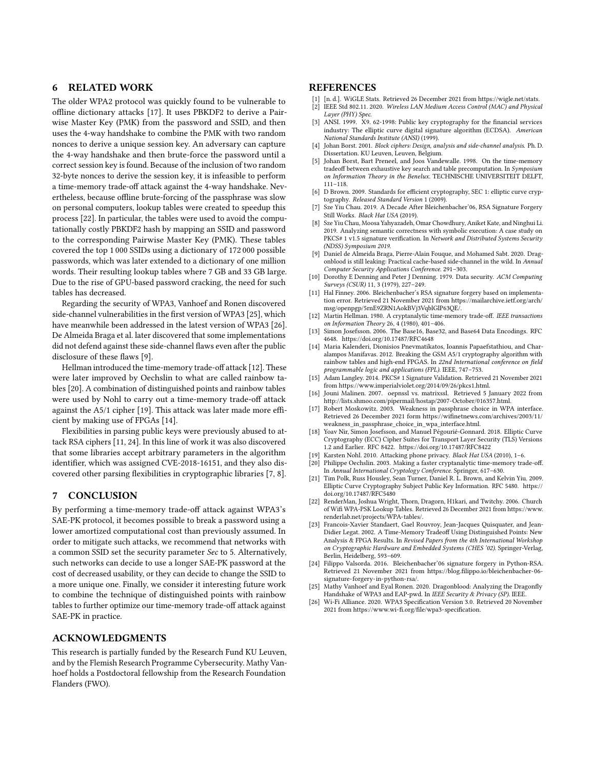# <span id="page-9-2"></span>6 RELATED WORK

The older WPA2 protocol was quickly found to be vulnerable to offline dictionary attacks [\[17\]](#page-9-19). It uses PBKDF2 to derive a Pairwise Master Key (PMK) from the password and SSID, and then uses the 4-way handshake to combine the PMK with two random nonces to derive a unique session key. An adversary can capture the 4-way handshake and then brute-force the password until a correct session key is found. Because of the inclusion of two random 32-byte nonces to derive the session key, it is infeasible to perform a time-memory trade-off attack against the 4-way handshake. Nevertheless, because offline brute-forcing of the passphrase was slow on personal computers, lookup tables were created to speedup this process [\[22\]](#page-9-20). In particular, the tables were used to avoid the computationally costly PBKDF2 hash by mapping an SSID and password to the corresponding Pairwise Master Key (PMK). These tables covered the top 1 000 SSIDs using a dictionary of 172 000 possible passwords, which was later extended to a dictionary of one million words. Their resulting lookup tables where 7 GB and 33 GB large. Due to the rise of GPU-based password cracking, the need for such tables has decreased.

Regarding the security of WPA3, Vanhoef and Ronen discovered side-channel vulnerabilities in the first version of WPA3 [\[25\]](#page-9-0), which have meanwhile been addressed in the latest version of WPA3 [\[26\]](#page-9-1). De Almeida Braga et al. later discovered that some implementations did not defend against these side-channel flaws even after the public disclosure of these flaws [\[9\]](#page-9-21).

Hellman introduced the time-memory trade-off attack [\[12\]](#page-9-7). These were later improved by Oechslin to what are called rainbow tables [\[20\]](#page-9-10). A combination of distinguished points and rainbow tables were used by Nohl to carry out a time-memory trade-off attack against the A5/1 cipher [\[19\]](#page-9-12). This attack was later made more efficient by making use of FPGAs [\[14\]](#page-9-22).

Flexibilities in parsing public keys were previously abused to attack RSA ciphers [\[11,](#page-9-23) [24\]](#page-9-24). In this line of work it was also discovered that some libraries accept arbitrary parameters in the algorithm identifier, which was assigned CVE-2018-16151, and they also discovered other parsing flexibilities in cryptographic libraries [\[7,](#page-9-25) [8\]](#page-9-26).

#### <span id="page-9-3"></span>7 CONCLUSION

By performing a time-memory trade-off attack against WPA3's SAE-PK protocol, it becomes possible to break a password using a lower amortized computational cost than previously assumed. In order to mitigate such attacks, we recommend that networks with a common SSID set the security parameter Sec to 5. Alternatively, such networks can decide to use a longer SAE-PK password at the cost of decreased usability, or they can decide to change the SSID to a more unique one. Finally, we consider it interesting future work to combine the technique of distinguished points with rainbow tables to further optimize our time-memory trade-off attack against SAE-PK in practice.

## ACKNOWLEDGMENTS

This research is partially funded by the Research Fund KU Leuven, and by the Flemish Research Programme Cybersecurity. Mathy Vanhoef holds a Postdoctoral fellowship from the Research Foundation Flanders (FWO).

#### REFERENCES

- <span id="page-9-11"></span>[1] [n. d.]. WiGLE Stats. Retrieved 26 December 2021 from [https://wigle.net/stats.](https://wigle.net/stats)
- <span id="page-9-5"></span>IEEE Std 802.11. 2020. Wireless LAN Medium Access Control (MAC) and Physical Layer (PHY) Spec.
- <span id="page-9-15"></span>[3] ANSI. 1999. X9. 62-1998: Public key cryptography for the financial services industry: The elliptic curve digital signature algorithm (ECDSA). American National Standards Institute (ANSI) (1999).
- <span id="page-9-13"></span>[4] Johan Borst. 2001. Block ciphers: Design, analysis and side-channel analysis. Ph. D. Dissertation. KU Leuven, Leuven, Belgium.
- <span id="page-9-9"></span>Johan Borst, Bart Preneel, and Joos Vandewalle. 1998. On the time-memory tradeoff between exhaustive key search and table precomputation. In Symposium on Information Theory in the Benelux. TECHNISCHE UNIVERSITEIT DELFT, 111–118.
- <span id="page-9-18"></span>[6] D Brown. 2009. Standards for efficient cryptography, SEC 1: elliptic curve cryptography. Released Standard Version 1 (2009).
- <span id="page-9-25"></span>[7] Sze Yiu Chau. 2019. A Decade After Bleichenbacher'06, RSA Signature Forgery Still Works. Black Hat USA (2019).
- <span id="page-9-26"></span>[8] Sze Yiu Chau, Moosa Yahyazadeh, Omar Chowdhury, Aniket Kate, and Ninghui Li. 2019. Analyzing semantic correctness with symbolic execution: A case study on PKCS# 1 v1.5 signature verification. In Network and Distributed Systems Security (NDSS) Symposium 2019.
- <span id="page-9-21"></span>[9] Daniel de Almeida Braga, Pierre-Alain Fouque, and Mohamed Sabt. 2020. Dragonblood is still leaking: Practical cache-based side-channel in the wild. In Annual Computer Security Applications Conference. 291–303.
- <span id="page-9-8"></span>[10] Dorothy E Denning and Peter J Denning. 1979. Data security. ACM Computing Surveys (CSUR) 11, 3 (1979), 227–249.
- <span id="page-9-23"></span>[11] Hal Finney. 2006. Bleichenbacher's RSA signature forgery based on implementation error. Retrieved 21 November 2021 from [https://mailarchive.ietf.org/arch/](https://mailarchive.ietf.org/arch/msg/openpgp/5rnE9ZRN1AokBVj3VqblGlP63QE/) [msg/openpgp/5rnE9ZRN1AokBVj3VqblGlP63QE/.](https://mailarchive.ietf.org/arch/msg/openpgp/5rnE9ZRN1AokBVj3VqblGlP63QE/)
- <span id="page-9-7"></span>[12] Martin Hellman. 1980. A cryptanalytic time-memory trade-off. IEEE transactions on Information Theory 26, 4 (1980), 401–406.
- <span id="page-9-6"></span>[13] Simon Josefsson. 2006. The Base16, Base32, and Base64 Data Encodings. RFC 4648.<https://doi.org/10.17487/RFC4648>
- <span id="page-9-22"></span>[14] Maria Kalenderi, Dionisios Pnevmatikatos, Ioannis Papaefstathiou, and Charalampos Manifavas. 2012. Breaking the GSM A5/1 cryptography algorithm with rainbow tables and high-end FPGAS. In 22nd International conference on field programmable logic and applications (FPL). IEEE, 747–753.
- <span id="page-9-16"></span>[15] Adam Langley. 2014. PKCS# 1 Signature Validation. Retrieved 21 November 2021 from [https://www.imperialviolet.org/2014/09/26/pkcs1.html.](https://www.imperialviolet.org/2014/09/26/pkcs1.html)
- <span id="page-9-17"></span>[16] Jouni Malinen. 2007. oepnssl vs. matrixssl. Retrieved 5 January 2022 from [http://lists.shmoo.com/pipermail/hostap/2007-October/016357.html.](http://lists.shmoo.com/pipermail/hostap/2007-October/016357.html) [17] Robert Moskowitz. 2003. Weakness in passphrase choice in WPA interface.
- <span id="page-9-19"></span>Retrieved 26 December 2021 form [https://wifinetnews.com/archives/2003/11/](https://wifinetnews.com/archives/2003/11/weakness_in_passphrase_choice_in_wpa_interface.html) weakness in passphrase choice in wpa interface.html.
- <span id="page-9-27"></span>[18] Yoav Nir, Simon Josefsson, and Manuel Pégourié-Gonnard. 2018. Elliptic Curve Cryptography (ECC) Cipher Suites for Transport Layer Security (TLS) Versions 1.2 and Earlier. RFC 8422.<https://doi.org/10.17487/RFC8422>
- <span id="page-9-12"></span>[19] Karsten Nohl. 2010. Attacking phone privacy. Black Hat USA (2010), 1–6.
- <span id="page-9-10"></span>[20] Philippe Oechslin. 2003. Making a faster cryptanalytic time-memory trade-off. In Annual International Cryptology Conference. Springer, 617–630.
- <span id="page-9-4"></span>[21] Tim Polk, Russ Housley, Sean Turner, Daniel R. L. Brown, and Kelvin Yiu. 2009. Elliptic Curve Cryptography Subject Public Key Information. RFC 5480. [https://](https://doi.org/10.17487/RFC5480) [doi.org/10.17487/RFC5480](https://doi.org/10.17487/RFC5480)
- <span id="page-9-20"></span>[22] RenderMan, Joshua Wright, Thorn, Dragorn, H1kari, and Twitchy. 2006. Church of Wifi WPA-PSK Lookup Tables. Retrieved 26 December 2021 from [https://www.](https://www.renderlab.net/projects/WPA-tables/) [renderlab.net/projects/WPA-tables/.](https://www.renderlab.net/projects/WPA-tables/)
- <span id="page-9-14"></span>[23] Francois-Xavier Standaert, Gael Rouvroy, Jean-Jacques Quisquater, and Jean-Didier Legat. 2002. A Time-Memory Tradeoff Using Distinguished Points: New Analysis & FPGA Results. In Revised Papers from the 4th International Workshop on Cryptographic Hardware and Embedded Systems (CHES '02). Springer-Verlag, Berlin, Heidelberg, 593–609.
- <span id="page-9-24"></span>[24] Filippo Valsorda. 2016. Bleichenbacher'06 signature forgery in Python-RSA. Retrieved 21 November 2021 from [https://blog.filippo.io/bleichenbacher-06](https://blog.filippo.io/bleichenbacher-06-signature-forgery-in-python-rsa/) [signature-forgery-in-python-rsa/.](https://blog.filippo.io/bleichenbacher-06-signature-forgery-in-python-rsa/)
- <span id="page-9-0"></span>[25] Mathy Vanhoef and Eyal Ronen. 2020. Dragonblood: Analyzing the Dragonfly Handshake of WPA3 and EAP-pwd. In IEEE Security & Privacy (SP). IEEE
- <span id="page-9-1"></span>[26] Wi-Fi Alliance. 2020. WPA3 Specification Version 3.0. Retrieved 20 November 2021 from [https://www.wi-fi.org/file/wpa3-specification.](https://www.wi-fi.org/file/wpa3-specification)